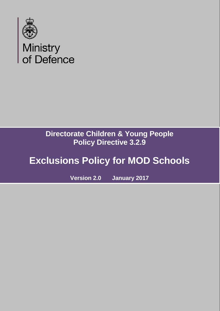

## **Directorate Children & Young People Policy Directive 3.2.9**

# **Exclusions Policy for MOD Schools**

**Version 2.0 January 2017**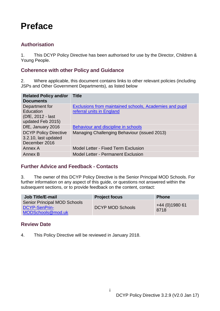## <span id="page-1-0"></span>**Preface**

## <span id="page-1-1"></span>**Authorisation**

1. This DCYP Policy Directive has been authorised for use by the Director, Children & Young People.

## <span id="page-1-2"></span>**Coherence with other Policy and Guidance**

2. Where applicable, this document contains links to other relevant policies (including JSPs and Other Government Departments), as listed below

| <b>Related Policy and/or</b><br><b>Documents</b>                      | <b>Title</b>                                                                         |
|-----------------------------------------------------------------------|--------------------------------------------------------------------------------------|
| Department for<br>Education<br>(DfE, 2012 - last<br>updated Feb 2015) | Exclusions from maintained schools, Academies and pupil<br>referral units in England |
| DfE, January 2016                                                     | Behaviour and discipline in schools                                                  |
| <b>DCYP Policy Directive</b><br>3.2.10, last updated<br>December 2016 | Managing Challenging Behaviour (issued 2013)                                         |
| Annex A                                                               | <b>Model Letter - Fixed Term Exclusion</b>                                           |
| Annex B                                                               | <b>Model Letter - Permanent Exclusion</b>                                            |

## <span id="page-1-3"></span>**Further Advice and Feedback - Contacts**

3. The owner of this DCYP Policy Directive is the Senior Principal MOD Schools. For further information on any aspect of this guide, or questions not answered within the subsequent sections, or to provide feedback on the content, contact:

| <b>Job Title/E-mail</b>                                                   | <b>Project focus</b>    | <b>Phone</b>            |
|---------------------------------------------------------------------------|-------------------------|-------------------------|
| <b>Senior Principal MOD Schools</b><br>DCYP-SenPrin-<br>MODSchools@mod.uk | <b>DCYP MOD Schools</b> | +44 (0) 1980 61<br>8718 |

## <span id="page-1-4"></span>**Review Date**

4. This Policy Directive will be reviewed in January 2018.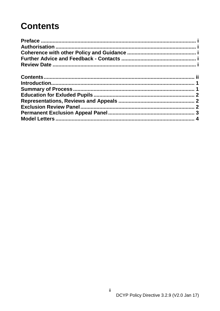# <span id="page-2-0"></span>**Contents**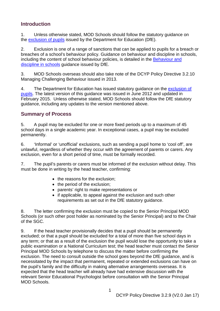## <span id="page-3-0"></span>**Introduction**

1. Unless otherwise stated, MOD Schools should follow the statutory guidance on the [exclusion of pupils](http://www.gov.uk/government/publications/school-exclusion.) issued by the Department for Education (DfE).

2. Exclusion is one of a range of sanctions that can be applied to pupils for a breach or breaches of a school's behaviour policy. Guidance on behaviour and discipline in schools, including the content of school behaviour policies, is detailed in the [Behaviour and](http://www.gov.uk/government/publications/behaviour-and-discipline-in-schools)  [discipline in schools](http://www.gov.uk/government/publications/behaviour-and-discipline-in-schools) guidance issued by DfE.

3. MOD Schools overseas should also take note of the DCYP Policy Directive 3.2.10 Managing Challenging Behaviour issued in 2013.

4. The Department for Education has issued statutory quidance on the exclusion of [pupils.](http://www.gov.uk/government/publications/school-exclusion.) The latest version of this guidance was issued in June 2012 and updated in February 2015. Unless otherwise stated, MOD Schools should follow the DfE statutory guidance, including any updates to the version mentioned above.

## <span id="page-3-1"></span>**Summary of Process**

5. A pupil may be excluded for one or more fixed periods up to a maximum of 45 school days in a single academic year. In exceptional cases, a pupil may be excluded permanently.

6. 'Informal' or 'unofficial' exclusions, such as sending a pupil home to 'cool off', are unlawful, regardless of whether they occur with the agreement of parents or carers. Any exclusion, even for a short period of time, must be formally recorded.

7. The pupil's parents or carers must be informed of the exclusion without delay. This must be done in writing by the head teacher, confirming:

- the reasons for the exclusion;
- the period of the exclusion:
- parents' right to make representations or
- if applicable, to appeal against the exclusion and such other requirements as set out in the DfE statutory guidance.

8. The letter confirming the exclusion must be copied to the Senior Principal MOD Schools (or such other post holder as nominated by the Senior Principal) and to the Chair of the SGC.

9. If the head teacher provisionally decides that a pupil should be permanently excluded; or that a pupil should be excluded for a total of more than five school days in any term; or that as a result of the exclusion the pupil would lose the opportunity to take a public examination or a National Curriculum test; the head teacher must contact the Senior Principal MOD Schools by telephone to discuss the matter before confirming the exclusion. The need to consult outside the school goes beyond the DfE guidance, and is necessitated by the impact that permanent, repeated or extended exclusions can have on the pupil's family and the difficulty in making alternative arrangements overseas. It is expected that the head teacher will already have had extensive discussion with the relevant Senior Educational Psychologist before consultation with the Senior Principal MOD Schools.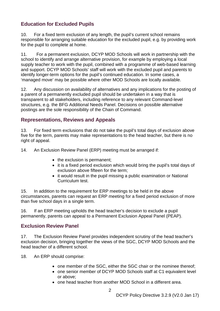## <span id="page-4-0"></span>**Education for Excluded Pupils**

10. For a fixed term exclusion of any length, the pupil's current school remains responsible for arranging suitable education for the excluded pupil, e.g. by providing work for the pupil to complete at home.

11. For a permanent exclusion, DCYP MOD Schools will work in partnership with the school to identify and arrange alternative provision, for example by employing a local supply teacher to work with the pupil, combined with a programme of web-based learning and support. DCYP MOD Schools' staff will work with the excluded pupil and parents to identify longer-term options for the pupil's continued education. In some cases, a 'managed move' may be possible where other MOD Schools are locally available.

12. Any discussion on availability of alternatives and any implications for the posting of a parent of a permanently excluded pupil should be undertaken in a way that is transparent to all stakeholders, including reference to any relevant Command-level structures, e.g. the BFG Additional Needs Panel. Decisions on possible alternative postings are the sole responsibility of the Chain of Command.

## <span id="page-4-1"></span>**Representations, Reviews and Appeals**

13. For fixed term exclusions that do not take the pupil's total days of exclusion above five for the term, parents may make representations to the head teacher, but there is no right of appeal.

14. An Exclusion Review Panel (ERP) meeting must be arranged if:

- the exclusion is permanent;
- it is a fixed period exclusion which would bring the pupil's total days of exclusion above fifteen for the term;
- it would result in the pupil missing a public examination or National Curriculum test.

15. In addition to the requirement for ERP meetings to be held in the above circumstances, parents can request an ERP meeting for a fixed period exclusion of more than five school days in a single term.

16. If an ERP meeting upholds the head teacher's decision to exclude a pupil permanently, parents can appeal to a Permanent Exclusion Appeal Panel (PEAP).

## <span id="page-4-2"></span>**Exclusion Review Panel**

17. The Exclusion Review Panel provides independent scrutiny of the head teacher's exclusion decision, bringing together the views of the SGC, DCYP MOD Schools and the head teacher of a different school.

18. An ERP should comprise:

- one member of the SGC, either the SGC chair or the nominee thereof;
- one senior member of DCYP MOD Schools staff at C1 equivalent level or above;
- one head teacher from another MOD School in a different area.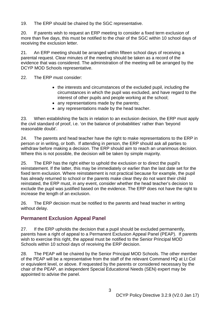19. The ERP should be chaired by the SGC representative.

20. If parents wish to request an ERP meeting to consider a fixed term exclusion of more than five days, this must be notified to the chair of the SGC within 10 school days of receiving the exclusion letter.

21. An ERP meeting should be arranged within fifteen school days of receiving a parental request. Clear minutes of the meeting should be taken as a record of the evidence that was considered. The administration of the meeting will be arranged by the DCYP MOD Schools representative.

22. The ERP must consider:

- the interests and circumstances of the excluded pupil, including the circumstances in which the pupil was excluded, and have regard to the interest of other pupils and people working at the school;
- any representations made by the parents;
- any representations made by the head teacher.

23. When establishing the facts in relation to an exclusion decision, the ERP must apply the civil standard of proof, i.e. 'on the balance of probabilities' rather than 'beyond reasonable doubt'.

24. The parents and head teacher have the right to make representations to the ERP in person or in writing, or both. If attending in person, the ERP should ask all parties to withdraw before making a decision. The ERP should aim to reach an unanimous decision. Where this is not possible, the decision will be taken by simple majority.

25. The ERP has the right either to uphold the exclusion or to direct the pupil's reinstatement. If the latter, this may be immediately or earlier than the last date set for the fixed term exclusion. Where reinstatement is not practical because for example, the pupil has already returned to school or the parents make clear they do not want their child reinstated, the ERP must, in any event, consider whether the head teacher's decision to exclude the pupil was justified based on the evidence. The ERP does not have the right to increase the length of an exclusion.

26. The ERP decision must be notified to the parents and head teacher in writing without delay.

## <span id="page-5-0"></span>**Permanent Exclusion Appeal Panel**

27. If the ERP upholds the decision that a pupil should be excluded permanently, parents have a right of appeal to a Permanent Exclusion Appeal Panel (PEAP). If parents wish to exercise this right, the appeal must be notified to the Senior Principal MOD Schools within 10 school days of receiving the ERP decision.

28. The PEAP will be chaired by the Senior Principal MOD Schools. The other member of the PEAP will be a representative from the staff of the relevant Command HQ at Lt Col or equivalent level, or above. If requested by the parents or considered necessary by the chair of the PEAP, an independent Special Educational Needs (SEN) expert may be appointed to advise the panel.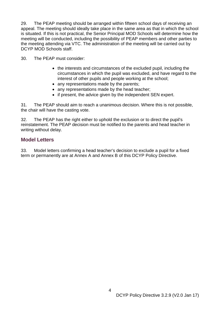29. The PEAP meeting should be arranged within fifteen school days of receiving an appeal. The meeting should ideally take place in the same area as that in which the school is situated. If this is not practical, the Senior Principal MOD Schools will determine how the meeting will be conducted, including the possibility of PEAP members and other parties to the meeting attending via VTC. The administration of the meeting will be carried out by DCYP MOD Schools staff.

30. The PEAP must consider:

- the interests and circumstances of the excluded pupil, including the circumstances in which the pupil was excluded, and have regard to the interest of other pupils and people working at the school;
- any representations made by the parents;
- any representations made by the head teacher;
- if present, the advice given by the independent SEN expert.

31. The PEAP should aim to reach a unanimous decision. Where this is not possible, the chair will have the casting vote.

32. The PEAP has the right either to uphold the exclusion or to direct the pupil's reinstatement. The PEAP decision must be notified to the parents and head teacher in writing without delay.

### <span id="page-6-0"></span>**Model Letters**

33. Model letters confirming a head teacher's decision to exclude a pupil for a fixed term or permanently are at Annex A and Annex B of this DCYP Policy Directive.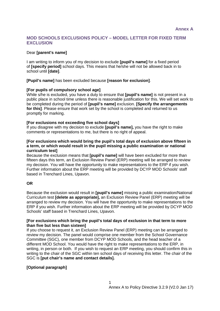#### **MOD SCHOOLS EXCLUSIONS POLICY – MODEL LETTER FOR FIXED TERM EXCLUSION**

#### Dear **[parent's name]**

I am writing to inform you of my decision to exclude **[pupil's name]** for a fixed period of **[specify period]** school days. This means that he/she will not be allowed back in to school until **[date]**.

**[Pupil's name]** has been excluded because **[reason for exclusion]**.

#### **[For pupils of compulsory school age]**

While s/he is excluded, you have a duty to ensure that **[pupil's name]** is not present in a public place in school time unless there is reasonable justification for this. We will set work to be completed during the period of **[pupil's name]** exclusion. **[Specify the arrangements for this]**. Please ensure that work set by the school is completed and returned to us promptly for marking.

#### **[For exclusions not exceeding five school days]**

If you disagree with my decision to exclude **[pupil's name],** you have the right to make comments or representations to me, but there is no right of appeal.

#### **[For exclusions which would bring the pupil's total days of exclusion above fifteen in a term, or which would result in the pupil missing a public examination or national curriculum test]**

Because the exclusion means that **[pupil's name]** will have been excluded for more than fifteen days this term, an Exclusion Review Panel (ERP) meeting will be arranged to review my decision. You will have the opportunity to make representations to the ERP if you wish. Further information about the ERP meeting will be provided by DCYP MOD Schools' staff based in Trenchard Lines, Upavon.

#### **OR**

Because the exclusion would result in **[pupil's name]** missing a public examination/National Curriculum test **[delete as appropriate],** an Exclusion Review Panel (ERP) meeting will be arranged to review my decision. You will have the opportunity to make representations to the ERP if you wish. Further information about the ERP meeting will be provided by DCYP MOD Schools' staff based in Trenchard Lines, Upavon.

#### **[For exclusions which bring the pupil's total days of exclusion in that term to more than five but less than sixteen]**

If you choose to request it, an Exclusion Review Panel (ERP) meeting can be arranged to review my decision. The panel would comprise one member from the School Governance Committee (SGC), one member from DCYP MOD Schools, and the head teacher of a different MOD School. You would have the right to make representations to the ERP, in writing, in person or both. If you wish to request an ERP meeting, you should confirm this in writing to the chair of the SGC within ten school days of receiving this letter. The chair of the SGC is **[put chair's name and contact details].**

#### **[Optional paragraph]**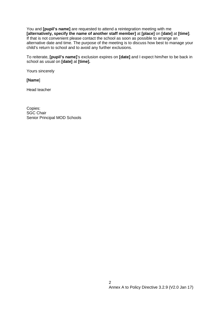You and **[pupil's name]** are requested to attend a reintegration meeting with me **[alternatively, specify the name of another staff member]** at **[place]** on **[date]** at **[time]**. If that is not convenient please contact the school as soon as possible to arrange an alternative date and time. The purpose of the meeting is to discuss how best to manage your child's return to school and to avoid any further exclusions.

To reiterate, **[pupil's name]**'s exclusion expires on **[date]** and I expect him/her to be back in school as usual on **[date]** at **[time].**

Yours sincerely

**[Name**]

Head teacher

Copies: **SGC Chair** Senior Principal MOD Schools